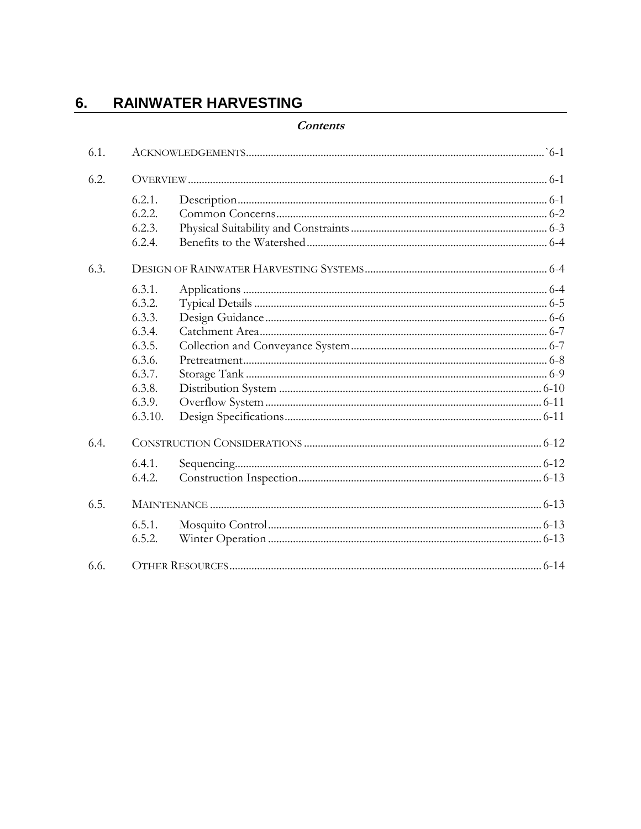#### **RAINWATER HARVESTING** 6.

#### **Contents**

| 6.1. |         |  |  |
|------|---------|--|--|
| 6.2. |         |  |  |
|      | 6.2.1.  |  |  |
|      | 6.2.2.  |  |  |
|      | 6.2.3.  |  |  |
|      | 6.2.4.  |  |  |
| 6.3. |         |  |  |
|      | 6.3.1.  |  |  |
|      | 6.3.2.  |  |  |
|      | 6.3.3.  |  |  |
|      | 6.3.4.  |  |  |
|      | 6.3.5.  |  |  |
|      | 6.3.6.  |  |  |
|      | 6.3.7.  |  |  |
|      | 6.3.8.  |  |  |
|      | 6.3.9.  |  |  |
|      | 6.3.10. |  |  |
| 6.4. |         |  |  |
|      | 6.4.1.  |  |  |
|      | 6.4.2.  |  |  |
| 6.5. |         |  |  |
|      | 6.5.1.  |  |  |
|      | 6.5.2.  |  |  |
| 6.6. |         |  |  |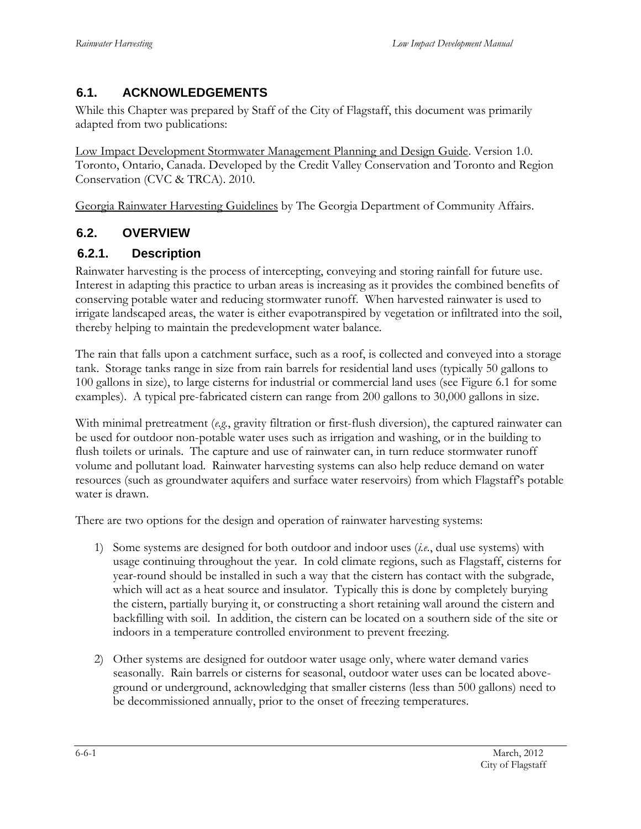## <span id="page-2-0"></span>**6.1. ACKNOWLEDGEMENTS**

While this Chapter was prepared by Staff of the City of Flagstaff, this document was primarily adapted from two publications:

Low Impact Development Stormwater Management Planning and Design Guide. Version 1.0. Toronto, Ontario, Canada. Developed by the Credit Valley Conservation and Toronto and Region Conservation (CVC & TRCA). 2010.

Georgia Rainwater Harvesting Guidelines by The Georgia Department of Community Affairs.

## <span id="page-2-1"></span>**6.2. OVERVIEW**

#### <span id="page-2-2"></span>**6.2.1. Description**

Rainwater harvesting is the process of intercepting, conveying and storing rainfall for future use. Interest in adapting this practice to urban areas is increasing as it provides the combined benefits of conserving potable water and reducing stormwater runoff. When harvested rainwater is used to irrigate landscaped areas, the water is either evapotranspired by vegetation or infiltrated into the soil, thereby helping to maintain the predevelopment water balance.

The rain that falls upon a catchment surface, such as a roof, is collected and conveyed into a storage tank. Storage tanks range in size from rain barrels for residential land uses (typically 50 gallons to 100 gallons in size), to large cisterns for industrial or commercial land uses (see Figure 6.1 for some examples). A typical pre-fabricated cistern can range from 200 gallons to 30,000 gallons in size.

With minimal pretreatment (*e.g.*, gravity filtration or first-flush diversion), the captured rainwater can be used for outdoor non-potable water uses such as irrigation and washing, or in the building to flush toilets or urinals. The capture and use of rainwater can, in turn reduce stormwater runoff volume and pollutant load. Rainwater harvesting systems can also help reduce demand on water resources (such as groundwater aquifers and surface water reservoirs) from which Flagstaff's potable water is drawn.

There are two options for the design and operation of rainwater harvesting systems:

- 1) Some systems are designed for both outdoor and indoor uses (*i.e.*, dual use systems) with usage continuing throughout the year. In cold climate regions, such as Flagstaff, cisterns for year-round should be installed in such a way that the cistern has contact with the subgrade, which will act as a heat source and insulator. Typically this is done by completely burying the cistern, partially burying it, or constructing a short retaining wall around the cistern and backfilling with soil. In addition, the cistern can be located on a southern side of the site or indoors in a temperature controlled environment to prevent freezing.
- 2) Other systems are designed for outdoor water usage only, where water demand varies seasonally. Rain barrels or cisterns for seasonal, outdoor water uses can be located aboveground or underground, acknowledging that smaller cisterns (less than 500 gallons) need to be decommissioned annually, prior to the onset of freezing temperatures.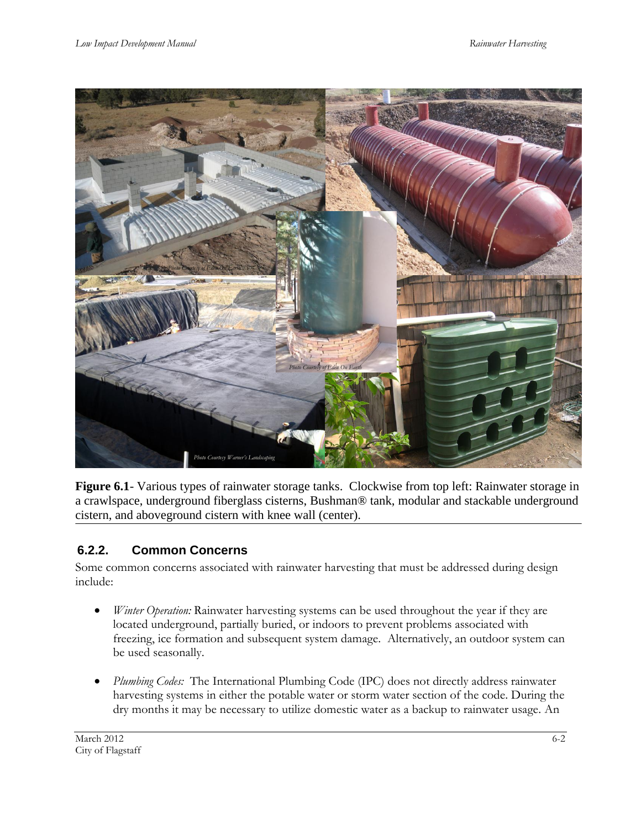

Figure 6.1- Various types of rainwater storage tanks. Clockwise from top left: Rainwater storage in a crawlspace, underground fiberglass cisterns, Bushman® tank, modular and stackable underground cistern, and aboveground cistern with knee wall (center).

## <span id="page-3-0"></span>**6.2.2. Common Concerns**

Some common concerns associated with rainwater harvesting that must be addressed during design include:

- *Winter Operation:* Rainwater harvesting systems can be used throughout the year if they are located underground, partially buried, or indoors to prevent problems associated with freezing, ice formation and subsequent system damage. Alternatively, an outdoor system can be used seasonally.
- *Plumbing Codes:* The International Plumbing Code (IPC) does not directly address rainwater harvesting systems in either the potable water or storm water section of the code. During the dry months it may be necessary to utilize domestic water as a backup to rainwater usage. An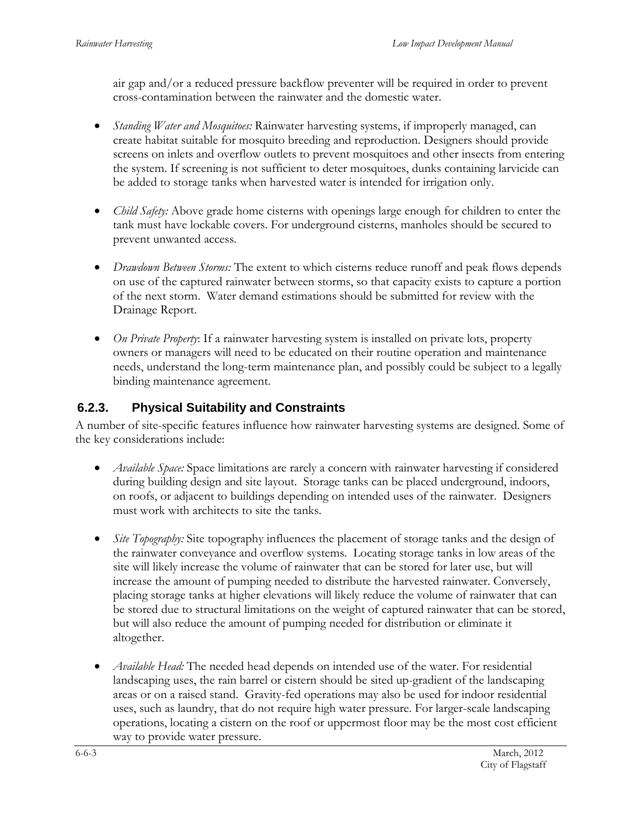air gap and/or a reduced pressure backflow preventer will be required in order to prevent cross-contamination between the rainwater and the domestic water.

- *Standing Water and Mosquitoes:* Rainwater harvesting systems, if improperly managed, can create habitat suitable for mosquito breeding and reproduction. Designers should provide screens on inlets and overflow outlets to prevent mosquitoes and other insects from entering the system. If screening is not sufficient to deter mosquitoes, dunks containing larvicide can be added to storage tanks when harvested water is intended for irrigation only.
- *Child Safety:* Above grade home cisterns with openings large enough for children to enter the tank must have lockable covers. For underground cisterns, manholes should be secured to prevent unwanted access.
- *Drawdown Between Storms:* The extent to which cisterns reduce runoff and peak flows depends on use of the captured rainwater between storms, so that capacity exists to capture a portion of the next storm. Water demand estimations should be submitted for review with the Drainage Report.
- *On Private Property*: If a rainwater harvesting system is installed on private lots, property owners or managers will need to be educated on their routine operation and maintenance needs, understand the long-term maintenance plan, and possibly could be subject to a legally binding maintenance agreement.

## <span id="page-4-0"></span>**6.2.3. Physical Suitability and Constraints**

A number of site-specific features influence how rainwater harvesting systems are designed. Some of the key considerations include:

- *Available Space:* Space limitations are rarely a concern with rainwater harvesting if considered during building design and site layout.Storage tanks can be placed underground, indoors, on roofs, or adjacent to buildings depending on intended uses of the rainwater. Designers must work with architects to site the tanks.
- *Site Topography:* Site topography influences the placement of storage tanks and the design of the rainwater conveyance and overflow systems. Locating storage tanks in low areas of the site will likely increase the volume of rainwater that can be stored for later use, but will increase the amount of pumping needed to distribute the harvested rainwater. Conversely, placing storage tanks at higher elevations will likely reduce the volume of rainwater that can be stored due to structural limitations on the weight of captured rainwater that can be stored, but will also reduce the amount of pumping needed for distribution or eliminate it altogether.
- *Available Head:* The needed head depends on intended use of the water. For residential landscaping uses, the rain barrel or cistern should be sited up-gradient of the landscaping areas or on a raised stand. Gravity-fed operations may also be used for indoor residential uses, such as laundry, that do not require high water pressure. For larger-scale landscaping operations, locating a cistern on the roof or uppermost floor may be the most cost efficient way to provide water pressure.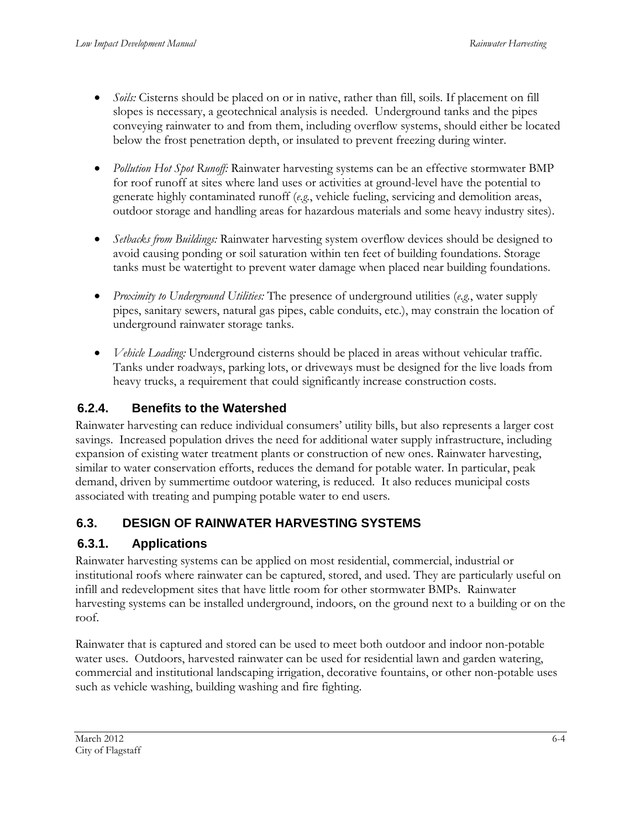- *Soils:* Cisterns should be placed on or in native, rather than fill, soils. If placement on fill slopes is necessary, a geotechnical analysis is needed. Underground tanks and the pipes conveying rainwater to and from them, including overflow systems, should either be located below the frost penetration depth, or insulated to prevent freezing during winter.
- *Pollution Hot Spot Runoff:* Rainwater harvesting systems can be an effective stormwater BMP for roof runoff at sites where land uses or activities at ground-level have the potential to generate highly contaminated runoff (*e.g.*, vehicle fueling, servicing and demolition areas, outdoor storage and handling areas for hazardous materials and some heavy industry sites).
- *Setbacks from Buildings:* Rainwater harvesting system overflow devices should be designed to avoid causing ponding or soil saturation within ten feet of building foundations. Storage tanks must be watertight to prevent water damage when placed near building foundations.
- *Proximity to Underground Utilities:* The presence of underground utilities (*e.g.*, water supply pipes, sanitary sewers, natural gas pipes, cable conduits, etc.), may constrain the location of underground rainwater storage tanks.
- *Vehicle Loading:* Underground cisterns should be placed in areas without vehicular traffic. Tanks under roadways, parking lots, or driveways must be designed for the live loads from heavy trucks, a requirement that could significantly increase construction costs.

## <span id="page-5-0"></span>**6.2.4. Benefits to the Watershed**

Rainwater harvesting can reduce individual consumers' utility bills, but also represents a larger cost savings. Increased population drives the need for additional water supply infrastructure, including expansion of existing water treatment plants or construction of new ones. Rainwater harvesting, similar to water conservation efforts, reduces the demand for potable water. In particular, peak demand, driven by summertime outdoor watering, is reduced. It also reduces municipal costs associated with treating and pumping potable water to end users.

## <span id="page-5-1"></span>**6.3. DESIGN OF RAINWATER HARVESTING SYSTEMS**

## <span id="page-5-2"></span>**6.3.1. Applications**

Rainwater harvesting systems can be applied on most residential, commercial, industrial or institutional roofs where rainwater can be captured, stored, and used. They are particularly useful on infill and redevelopment sites that have little room for other stormwater BMPs. Rainwater harvesting systems can be installed underground, indoors, on the ground next to a building or on the roof.

Rainwater that is captured and stored can be used to meet both outdoor and indoor non-potable water uses. Outdoors, harvested rainwater can be used for residential lawn and garden watering, commercial and institutional landscaping irrigation, decorative fountains, or other non-potable uses such as vehicle washing, building washing and fire fighting.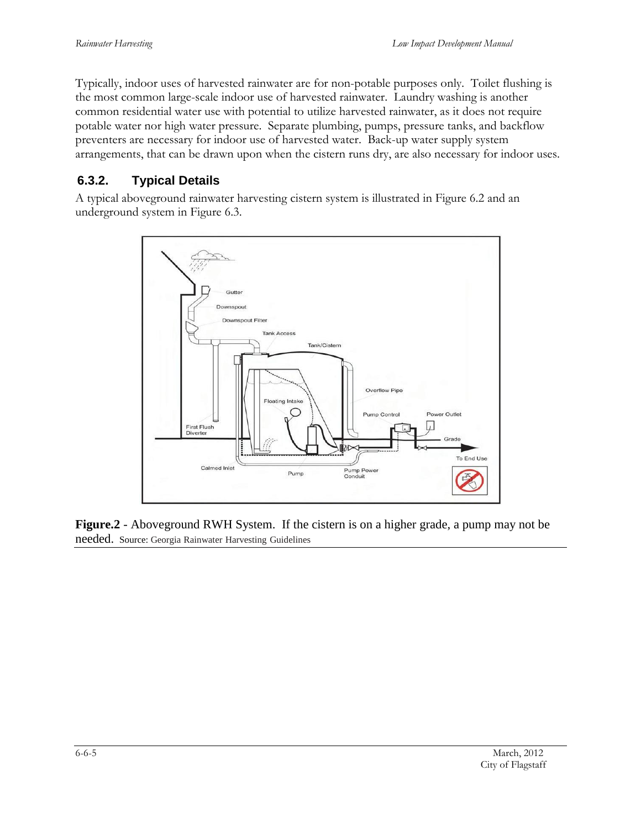Typically, indoor uses of harvested rainwater are for non-potable purposes only*.* Toilet flushing is the most common large-scale indoor use of harvested rainwater. Laundry washing is another common residential water use with potential to utilize harvested rainwater, as it does not require potable water nor high water pressure. Separate plumbing, pumps, pressure tanks, and backflow preventers are necessary for indoor use of harvested water. Back-up water supply system arrangements, that can be drawn upon when the cistern runs dry, are also necessary for indoor uses.

#### <span id="page-6-0"></span>**6.3.2. Typical Details**

A typical aboveground rainwater harvesting cistern system is illustrated in Figure 6.2 and an underground system in Figure 6.3.



**Figure.2** - Aboveground RWH System. If the cistern is on a higher grade, a pump may not be needed. Source: Georgia Rainwater Harvesting Guidelines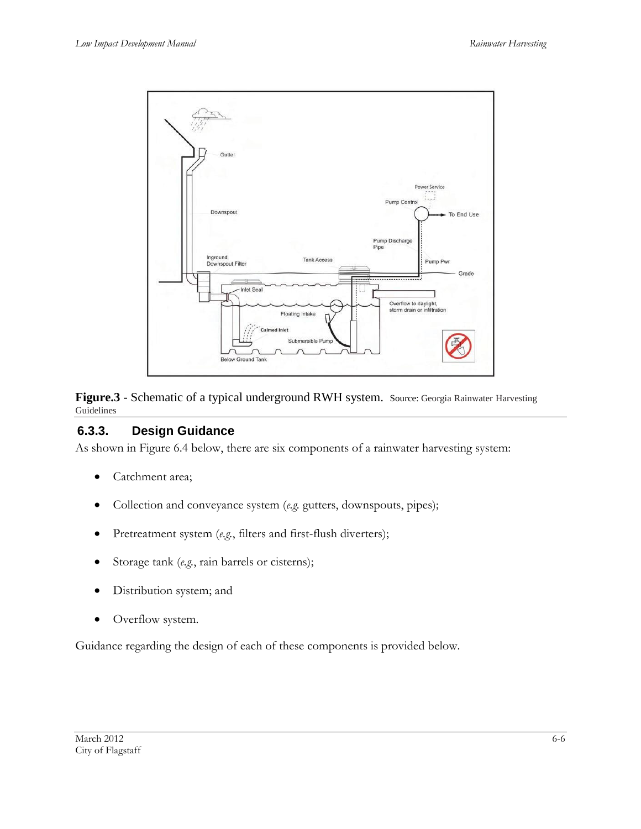

**Figure.3** - Schematic of a typical underground RWH system. Source: Georgia Rainwater Harvesting Guidelines

## <span id="page-7-0"></span>**6.3.3. Design Guidance**

As shown in Figure 6.4 below, there are six components of a rainwater harvesting system:

- Catchment area;
- Collection and conveyance system (*e.g.* gutters, downspouts, pipes);
- Pretreatment system (*e.g.*, filters and first-flush diverters);
- Storage tank (*e.g.*, rain barrels or cisterns);
- Distribution system; and
- Overflow system.

Guidance regarding the design of each of these components is provided below.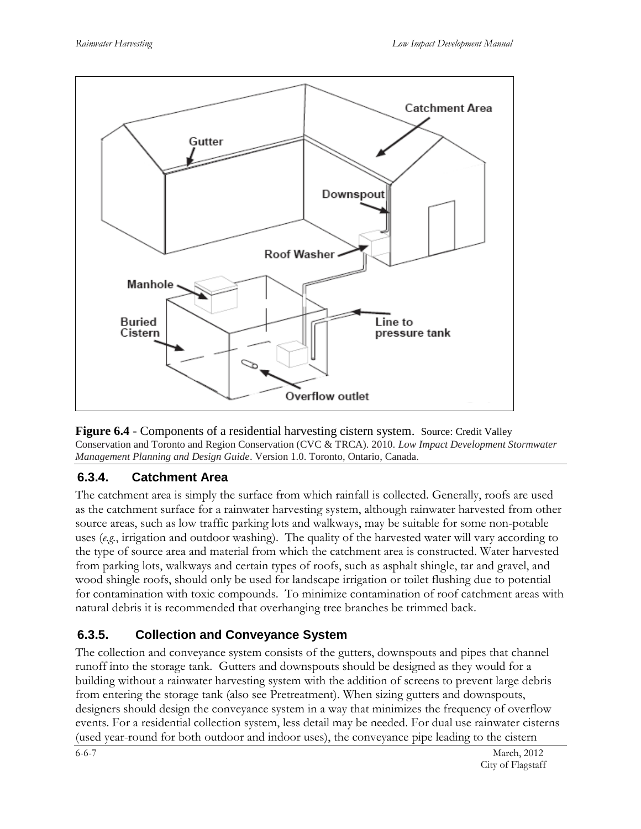



## <span id="page-8-0"></span>**6.3.4. Catchment Area**

The catchment area is simply the surface from which rainfall is collected. Generally, roofs are used as the catchment surface for a rainwater harvesting system, although rainwater harvested from other source areas, such as low traffic parking lots and walkways, may be suitable for some non-potable uses (*e.g.*, irrigation and outdoor washing). The quality of the harvested water will vary according to the type of source area and material from which the catchment area is constructed. Water harvested from parking lots, walkways and certain types of roofs, such as asphalt shingle, tar and gravel, and wood shingle roofs, should only be used for landscape irrigation or toilet flushing due to potential for contamination with toxic compounds. To minimize contamination of roof catchment areas with natural debris it is recommended that overhanging tree branches be trimmed back.

## <span id="page-8-1"></span>**6.3.5. Collection and Conveyance System**

The collection and conveyance system consists of the gutters, downspouts and pipes that channel runoff into the storage tank. Gutters and downspouts should be designed as they would for a building without a rainwater harvesting system with the addition of screens to prevent large debris from entering the storage tank (also see Pretreatment). When sizing gutters and downspouts, designers should design the conveyance system in a way that minimizes the frequency of overflow events. For a residential collection system, less detail may be needed. For dual use rainwater cisterns (used year-round for both outdoor and indoor uses), the conveyance pipe leading to the cistern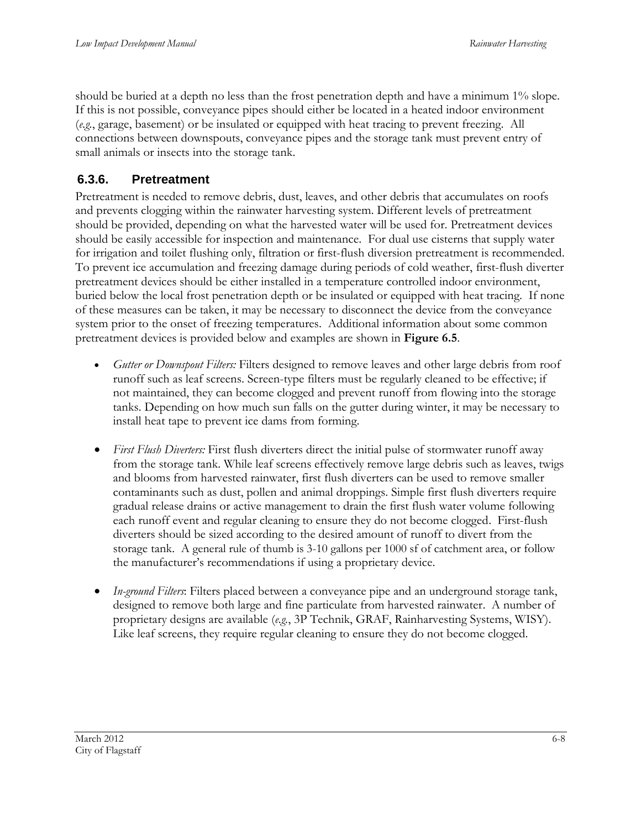should be buried at a depth no less than the frost penetration depth and have a minimum 1% slope. If this is not possible, conveyance pipes should either be located in a heated indoor environment (*e.g.*, garage, basement) or be insulated or equipped with heat tracing to prevent freezing. All connections between downspouts, conveyance pipes and the storage tank must prevent entry of small animals or insects into the storage tank.

## <span id="page-9-0"></span>**6.3.6. Pretreatment**

Pretreatment is needed to remove debris, dust, leaves, and other debris that accumulates on roofs and prevents clogging within the rainwater harvesting system. Different levels of pretreatment should be provided, depending on what the harvested water will be used for. Pretreatment devices should be easily accessible for inspection and maintenance. For dual use cisterns that supply water for irrigation and toilet flushing only, filtration or first-flush diversion pretreatment is recommended. To prevent ice accumulation and freezing damage during periods of cold weather, first-flush diverter pretreatment devices should be either installed in a temperature controlled indoor environment, buried below the local frost penetration depth or be insulated or equipped with heat tracing. If none of these measures can be taken, it may be necessary to disconnect the device from the conveyance system prior to the onset of freezing temperatures. Additional information about some common pretreatment devices is provided below and examples are shown in **Figure 6.5**.

- *Gutter or Downspout Filters:* Filters designed to remove leaves and other large debris from roof runoff such as leaf screens. Screen-type filters must be regularly cleaned to be effective; if not maintained, they can become clogged and prevent runoff from flowing into the storage tanks. Depending on how much sun falls on the gutter during winter, it may be necessary to install heat tape to prevent ice dams from forming.
- *First Flush Diverters:* First flush diverters direct the initial pulse of stormwater runoff away from the storage tank. While leaf screens effectively remove large debris such as leaves, twigs and blooms from harvested rainwater, first flush diverters can be used to remove smaller contaminants such as dust, pollen and animal droppings. Simple first flush diverters require gradual release drains or active management to drain the first flush water volume following each runoff event and regular cleaning to ensure they do not become clogged. First-flush diverters should be sized according to the desired amount of runoff to divert from the storage tank. A general rule of thumb is 3-10 gallons per 1000 sf of catchment area, or follow the manufacturer's recommendations if using a proprietary device.
- *In-ground Filters*: Filters placed between a conveyance pipe and an underground storage tank, designed to remove both large and fine particulate from harvested rainwater. A number of proprietary designs are available (*e.g.*, 3P Technik, GRAF, Rainharvesting Systems, WISY). Like leaf screens, they require regular cleaning to ensure they do not become clogged.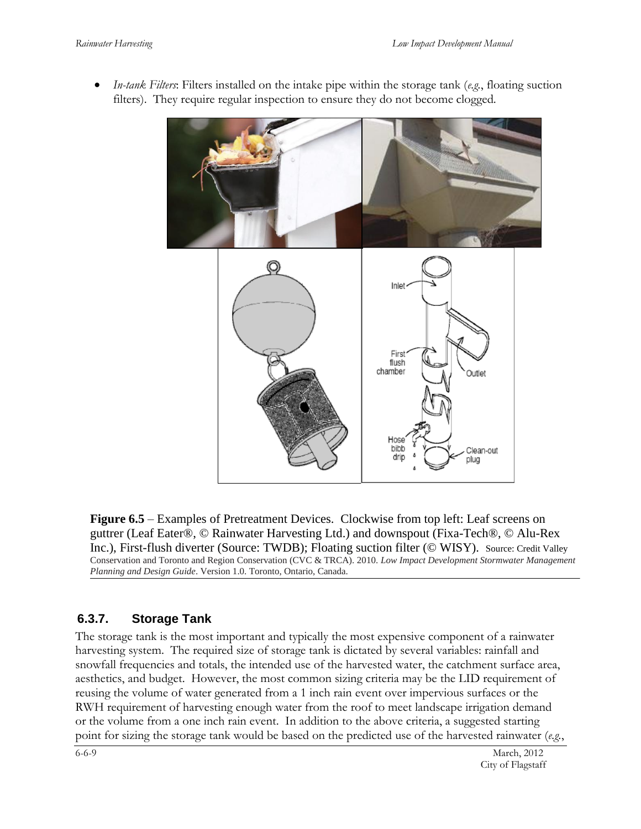

 *In-tank Filters*: Filters installed on the intake pipe within the storage tank (*e.g.*, floating suction filters). They require regular inspection to ensure they do not become clogged.

**Figure 6.5** – Examples of Pretreatment Devices. Clockwise from top left: Leaf screens on guttrer (Leaf Eater®, © Rainwater Harvesting Ltd.) and downspout (Fixa-Tech®, © Alu-Rex Inc.), First-flush diverter (Source: TWDB); Floating suction filter (© WISY). Source: Credit Valley Conservation and Toronto and Region Conservation (CVC & TRCA). 2010. *Low Impact Development Stormwater Management Planning and Design Guide*. Version 1.0. Toronto, Ontario, Canada.

#### <span id="page-10-0"></span>**6.3.7. Storage Tank**

The storage tank is the most important and typically the most expensive component of a rainwater harvesting system. The required size of storage tank is dictated by several variables: rainfall and snowfall frequencies and totals, the intended use of the harvested water, the catchment surface area, aesthetics, and budget. However, the most common sizing criteria may be the LID requirement of reusing the volume of water generated from a 1 inch rain event over impervious surfaces or the RWH requirement of harvesting enough water from the roof to meet landscape irrigation demand or the volume from a one inch rain event. In addition to the above criteria, a suggested starting point for sizing the storage tank would be based on the predicted use of the harvested rainwater (*e.g.*,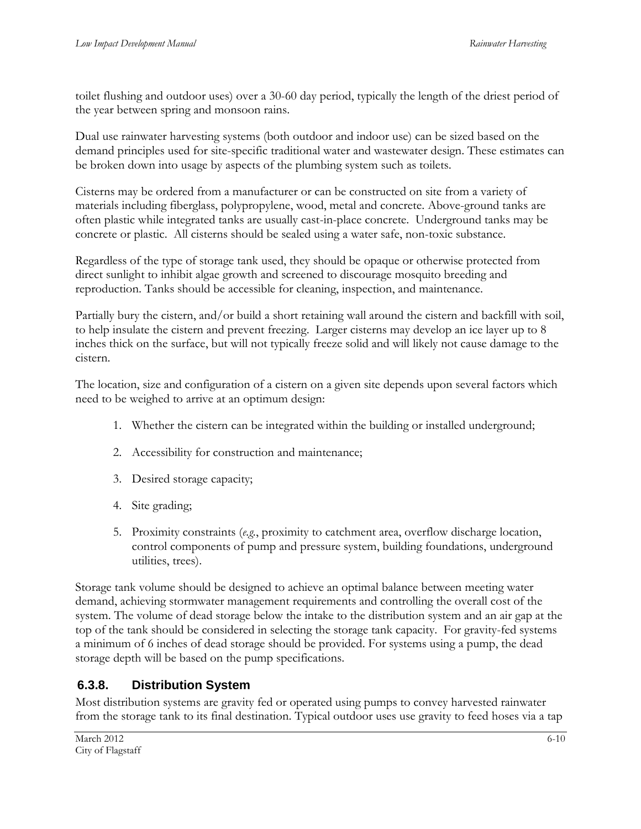toilet flushing and outdoor uses) over a 30-60 day period, typically the length of the driest period of the year between spring and monsoon rains.

Dual use rainwater harvesting systems (both outdoor and indoor use) can be sized based on the demand principles used for site-specific traditional water and wastewater design. These estimates can be broken down into usage by aspects of the plumbing system such as toilets.

Cisterns may be ordered from a manufacturer or can be constructed on site from a variety of materials including fiberglass, polypropylene, wood, metal and concrete. Above-ground tanks are often plastic while integrated tanks are usually cast-in-place concrete. Underground tanks may be concrete or plastic. All cisterns should be sealed using a water safe, non-toxic substance.

Regardless of the type of storage tank used, they should be opaque or otherwise protected from direct sunlight to inhibit algae growth and screened to discourage mosquito breeding and reproduction. Tanks should be accessible for cleaning, inspection, and maintenance.

Partially bury the cistern, and/or build a short retaining wall around the cistern and backfill with soil, to help insulate the cistern and prevent freezing. Larger cisterns may develop an ice layer up to 8 inches thick on the surface, but will not typically freeze solid and will likely not cause damage to the cistern.

The location, size and configuration of a cistern on a given site depends upon several factors which need to be weighed to arrive at an optimum design:

- 1. Whether the cistern can be integrated within the building or installed underground;
- 2. Accessibility for construction and maintenance;
- 3. Desired storage capacity;
- 4. Site grading;
- 5. Proximity constraints (*e.g.*, proximity to catchment area, overflow discharge location, control components of pump and pressure system, building foundations, underground utilities, trees).

Storage tank volume should be designed to achieve an optimal balance between meeting water demand, achieving stormwater management requirements and controlling the overall cost of the system. The volume of dead storage below the intake to the distribution system and an air gap at the top of the tank should be considered in selecting the storage tank capacity. For gravity-fed systems a minimum of 6 inches of dead storage should be provided. For systems using a pump, the dead storage depth will be based on the pump specifications.

## <span id="page-11-0"></span>**6.3.8. Distribution System**

Most distribution systems are gravity fed or operated using pumps to convey harvested rainwater from the storage tank to its final destination. Typical outdoor uses use gravity to feed hoses via a tap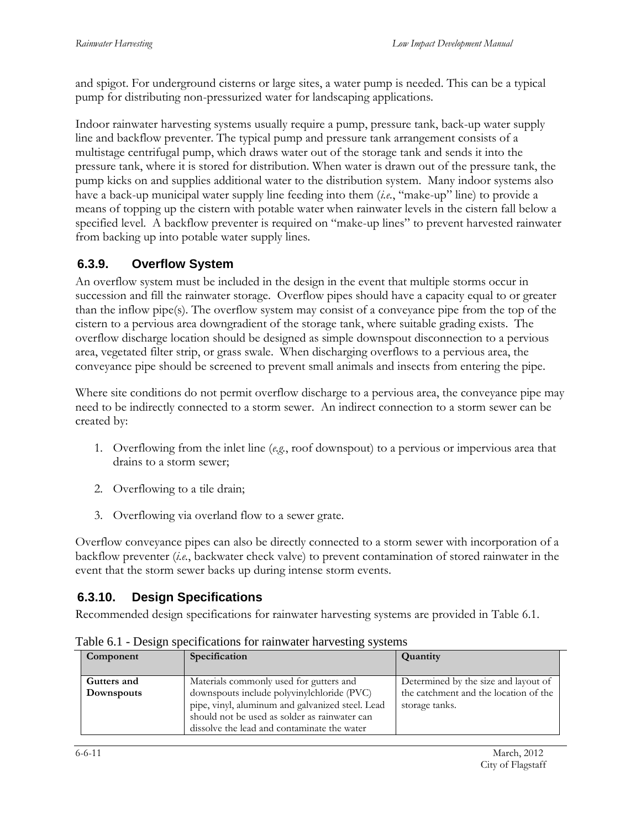and spigot. For underground cisterns or large sites, a water pump is needed. This can be a typical pump for distributing non-pressurized water for landscaping applications.

Indoor rainwater harvesting systems usually require a pump, pressure tank, back-up water supply line and backflow preventer. The typical pump and pressure tank arrangement consists of a multistage centrifugal pump, which draws water out of the storage tank and sends it into the pressure tank, where it is stored for distribution. When water is drawn out of the pressure tank, the pump kicks on and supplies additional water to the distribution system. Many indoor systems also have a back-up municipal water supply line feeding into them (*i.e.*, "make-up" line) to provide a means of topping up the cistern with potable water when rainwater levels in the cistern fall below a specified level. A backflow preventer is required on "make-up lines" to prevent harvested rainwater from backing up into potable water supply lines.

#### <span id="page-12-0"></span>**6.3.9. Overflow System**

An overflow system must be included in the design in the event that multiple storms occur in succession and fill the rainwater storage. Overflow pipes should have a capacity equal to or greater than the inflow pipe(s). The overflow system may consist of a conveyance pipe from the top of the cistern to a pervious area downgradient of the storage tank, where suitable grading exists. The overflow discharge location should be designed as simple downspout disconnection to a pervious area, vegetated filter strip, or grass swale. When discharging overflows to a pervious area, the conveyance pipe should be screened to prevent small animals and insects from entering the pipe.

Where site conditions do not permit overflow discharge to a pervious area, the conveyance pipe may need to be indirectly connected to a storm sewer. An indirect connection to a storm sewer can be created by:

- 1. Overflowing from the inlet line (*e.g.*, roof downspout) to a pervious or impervious area that drains to a storm sewer;
- 2. Overflowing to a tile drain;
- 3. Overflowing via overland flow to a sewer grate.

Overflow conveyance pipes can also be directly connected to a storm sewer with incorporation of a backflow preventer (*i.e.*, backwater check valve) to prevent contamination of stored rainwater in the event that the storm sewer backs up during intense storm events.

## <span id="page-12-1"></span>**6.3.10. Design Specifications**

Recommended design specifications for rainwater harvesting systems are provided in Table 6.1.

| Component                 | Specification                                                                                                                                                                                                                             | Quantity                                                                                        |
|---------------------------|-------------------------------------------------------------------------------------------------------------------------------------------------------------------------------------------------------------------------------------------|-------------------------------------------------------------------------------------------------|
| Gutters and<br>Downspouts | Materials commonly used for gutters and<br>downspouts include polyvinylchloride (PVC)<br>pipe, vinyl, aluminum and galvanized steel. Lead<br>should not be used as solder as rainwater can<br>dissolve the lead and contaminate the water | Determined by the size and layout of<br>the catchment and the location of the<br>storage tanks. |

Table 6.1 - Design specifications for rainwater harvesting systems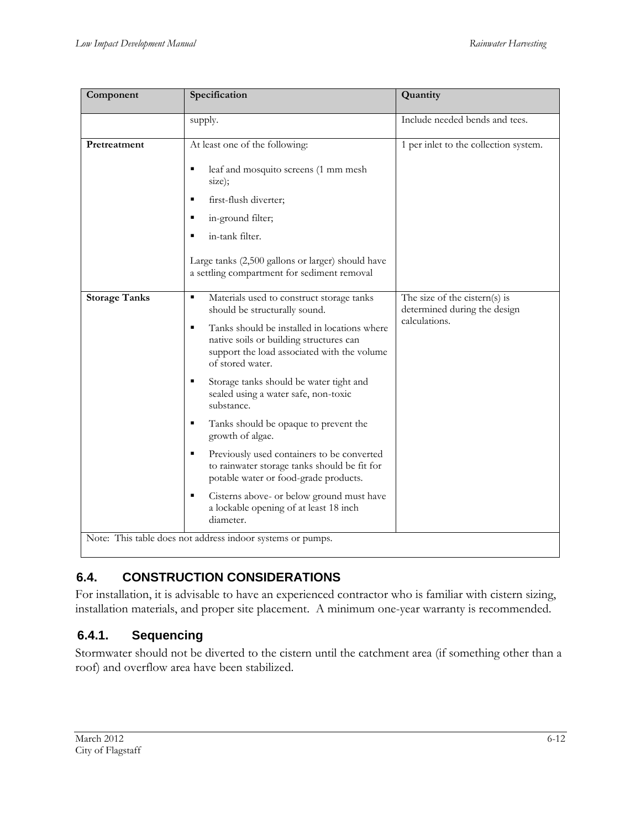| Component                                                  | Specification                                                                                                                                                   | Quantity                                                                       |  |  |  |
|------------------------------------------------------------|-----------------------------------------------------------------------------------------------------------------------------------------------------------------|--------------------------------------------------------------------------------|--|--|--|
|                                                            | supply.                                                                                                                                                         | Include needed bends and tees.                                                 |  |  |  |
| Pretreatment                                               | At least one of the following:                                                                                                                                  | 1 per inlet to the collection system.                                          |  |  |  |
|                                                            | leaf and mosquito screens (1 mm mesh<br>٠<br>size);                                                                                                             |                                                                                |  |  |  |
|                                                            | first-flush diverter;<br>Е                                                                                                                                      |                                                                                |  |  |  |
|                                                            | in-ground filter;<br>п                                                                                                                                          |                                                                                |  |  |  |
|                                                            | in-tank filter.                                                                                                                                                 |                                                                                |  |  |  |
|                                                            | Large tanks (2,500 gallons or larger) should have<br>a settling compartment for sediment removal                                                                |                                                                                |  |  |  |
| <b>Storage Tanks</b>                                       | Materials used to construct storage tanks<br>٠<br>should be structurally sound.                                                                                 | The size of the cistern(s) is<br>determined during the design<br>calculations. |  |  |  |
|                                                            | Tanks should be installed in locations where<br>٠<br>native soils or building structures can<br>support the load associated with the volume<br>of stored water. |                                                                                |  |  |  |
|                                                            | ٠<br>Storage tanks should be water tight and<br>sealed using a water safe, non-toxic<br>substance.                                                              |                                                                                |  |  |  |
|                                                            | Tanks should be opaque to prevent the<br>٠<br>growth of algae.                                                                                                  |                                                                                |  |  |  |
|                                                            | Ξ<br>Previously used containers to be converted<br>to rainwater storage tanks should be fit for<br>potable water or food-grade products.                        |                                                                                |  |  |  |
|                                                            | $\blacksquare$<br>Cisterns above- or below ground must have<br>a lockable opening of at least 18 inch<br>diameter.                                              |                                                                                |  |  |  |
| Note: This table does not address indoor systems or pumps. |                                                                                                                                                                 |                                                                                |  |  |  |

# <span id="page-13-0"></span>**6.4. CONSTRUCTION CONSIDERATIONS**

For installation, it is advisable to have an experienced contractor who is familiar with cistern sizing, installation materials, and proper site placement. A minimum one-year warranty is recommended.

## <span id="page-13-1"></span>**6.4.1. Sequencing**

Stormwater should not be diverted to the cistern until the catchment area (if something other than a roof) and overflow area have been stabilized.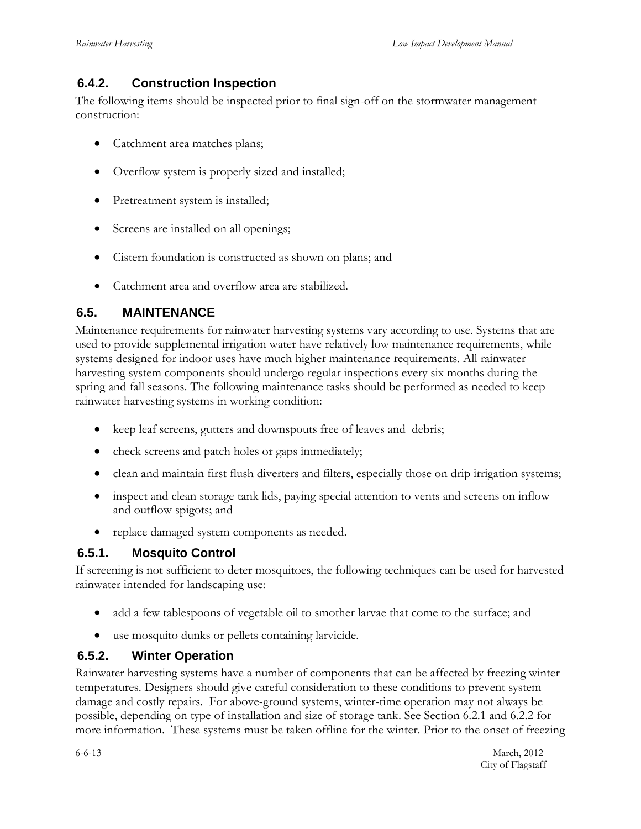#### <span id="page-14-0"></span>**6.4.2. Construction Inspection**

The following items should be inspected prior to final sign-off on the stormwater management construction:

- Catchment area matches plans;
- Overflow system is properly sized and installed;
- Pretreatment system is installed;
- Screens are installed on all openings;
- Cistern foundation is constructed as shown on plans; and
- Catchment area and overflow area are stabilized.

#### <span id="page-14-1"></span>**6.5. MAINTENANCE**

Maintenance requirements for rainwater harvesting systems vary according to use. Systems that are used to provide supplemental irrigation water have relatively low maintenance requirements, while systems designed for indoor uses have much higher maintenance requirements. All rainwater harvesting system components should undergo regular inspections every six months during the spring and fall seasons. The following maintenance tasks should be performed as needed to keep rainwater harvesting systems in working condition:

- keep leaf screens, gutters and downspouts free of leaves and debris;
- check screens and patch holes or gaps immediately;
- clean and maintain first flush diverters and filters, especially those on drip irrigation systems;
- inspect and clean storage tank lids, paying special attention to vents and screens on inflow and outflow spigots; and
- replace damaged system components as needed.

#### <span id="page-14-2"></span>**6.5.1. Mosquito Control**

If screening is not sufficient to deter mosquitoes, the following techniques can be used for harvested rainwater intended for landscaping use:

- add a few tablespoons of vegetable oil to smother larvae that come to the surface; and
- use mosquito dunks or pellets containing larvicide.

#### <span id="page-14-3"></span>**6.5.2. Winter Operation**

Rainwater harvesting systems have a number of components that can be affected by freezing winter temperatures. Designers should give careful consideration to these conditions to prevent system damage and costly repairs. For above-ground systems, winter-time operation may not always be possible, depending on type of installation and size of storage tank. See Section 6.2.1 and 6.2.2 for more information. These systems must be taken offline for the winter. Prior to the onset of freezing